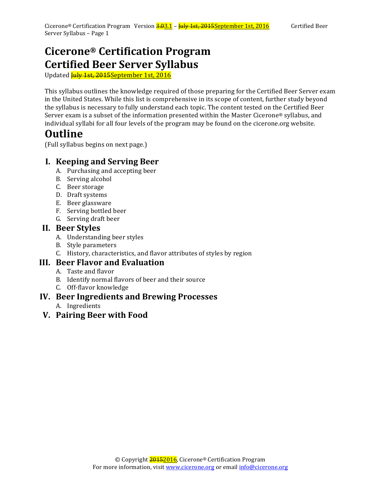## **Cicerone® Certification Program Certified Beer Server Syllabus**

Updated **July 1st, 2015** September 1st, 2016

This syllabus outlines the knowledge required of those preparing for the Certified Beer Server exam in the United States. While this list is comprehensive in its scope of content, further study beyond the syllabus is necessary to fully understand each topic. The content tested on the Certified Beer Server exam is a subset of the information presented within the Master Cicerone® syllabus, and individual syllabi for all four levels of the program may be found on the cicerone.org website.

## **Outline**

(Full syllabus begins on next page.)

## **I. Keeping and Serving Beer**

- A. Purchasing and accepting beer
- B. Serving alcohol
- C. Beer storage
- D. Draft systems
- E. Beer glassware
- F. Serving bottled beer
- G. Serving draft beer

#### **II. Beer Styles**

- A. Understanding beer styles
- B. Style parameters
- C. History, characteristics, and flavor attributes of styles by region

## **III. Beer Flavor and Evaluation**

- A. Taste and flavor
- B. Identify normal flavors of beer and their source
- C. Off-flavor knowledge

### **IV. Beer Ingredients and Brewing Processes**

- A. Ingredients
- **V. Pairing Beer with Food**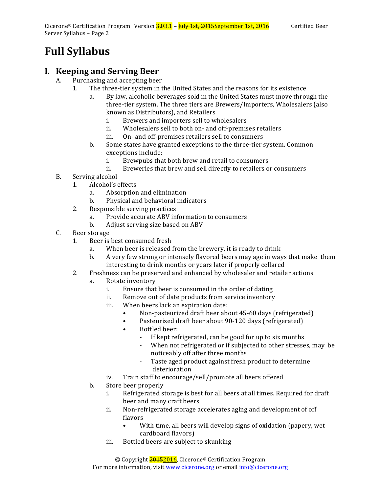# **Full Syllabus**

## **I. Keeping and Serving Beer**

- A. Purchasing and accepting beer
	- 1. The three-tier system in the United States and the reasons for its existence
		- a. By law, alcoholic beverages sold in the United States must move through the three-tier system. The three tiers are Brewers/Importers, Wholesalers (also known as Distributors), and Retailers
			- i. Brewers and importers sell to wholesalers
			- ii. Wholesalers sell to both on- and off-premises retailers
			- iii. On- and off-premises retailers sell to consumers
		- b. Some states have granted exceptions to the three-tier system. Common exceptions include:
			- i. Brewpubs that both brew and retail to consumers
			- ii. Breweries that brew and sell directly to retailers or consumers
- B. Serving alcohol
	- 1. Alcohol's effects
		- a. Absorption and elimination
		- b. Physical and behavioral indicators
	- 2. Responsible serving practices
		- a. Provide accurate ABV information to consumers
		- b. Adjust serving size based on ABV
- C. Beer storage
	- 1. Beer is best consumed fresh
		- a. When beer is released from the brewery, it is ready to drink
		- b. A very few strong or intensely flavored beers may age in ways that make them interesting to drink months or years later if properly cellared
	- 2. Freshness can be preserved and enhanced by wholesaler and retailer actions
		- a. Rotate inventory
			- i. Ensure that beer is consumed in the order of dating
			- ii. Remove out of date products from service inventory
			- iii. When beers lack an expiration date:
				- Non-pasteurized draft beer about 45-60 days (refrigerated)
				- Pasteurized draft beer about 90-120 days (refrigerated)
				- Bottled beer:
					- If kept refrigerated, can be good for up to six months<br>- When not refrigerated or if subiected to other stresse
					- When not refrigerated or if subjected to other stresses, may be noticeably off after three months
					- Taste aged product against fresh product to determine deterioration
			- iv. Train staff to encourage/sell/promote all beers offered
		- b. Store beer properly
			- i. Refrigerated storage is best for all beers at all times. Required for draft beer and many craft beers
			- ii. Non-refrigerated storage accelerates aging and development of off flavors
				- With time, all beers will develop signs of oxidation (papery, wet cardboard flavors)
			- iii. Bottled beers are subject to skunking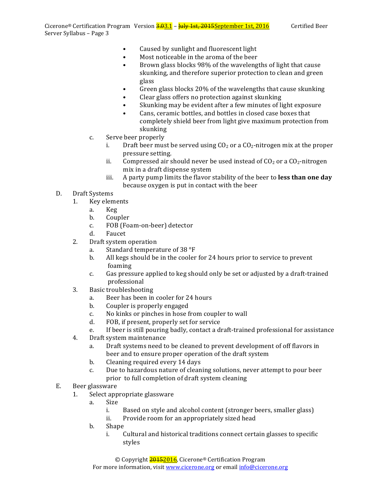- Caused by sunlight and fluorescent light
- Most noticeable in the aroma of the beer
- Brown glass blocks 98% of the wavelengths of light that cause skunking, and therefore superior protection to clean and green glass
- Green glass blocks 20% of the wavelengths that cause skunking
- Clear glass offers no protection against skunking
- Skunking may be evident after a few minutes of light exposure
- Cans, ceramic bottles, and bottles in closed case boxes that completely shield beer from light give maximum protection from skunking
- c. Serve beer properly
	- i. Draft beer must be served using  $CO<sub>2</sub>$  or a  $CO<sub>2</sub>$ -nitrogen mix at the proper pressure setting.
	- ii. Compressed air should never be used instead of  $CO<sub>2</sub>$  or a  $CO<sub>2</sub>$ -nitrogen mix in a draft dispense system
	- iii. A party pump limits the flavor stability of the beer to **less than one day** because oxygen is put in contact with the beer
- D. Draft Systems
	- 1. Key elements
		- a. Keg
		- b. Coupler
		- c. FOB (Foam-on-beer) detector
		- d. Faucet
	- 2. Draft system operation
		- a. Standard temperature of 38  $\degree$ F
		- b. All kegs should be in the cooler for 24 hours prior to service to prevent foaming
		- c. Gas pressure applied to keg should only be set or adjusted by a draft-trained professional
	- 3. Basic troubleshooting
		- a. Beer has been in cooler for 24 hours
		- b. Coupler is properly engaged
		- c. No kinks or pinches in hose from coupler to wall
		- d. FOB, if present, properly set for service
		- e. If beer is still pouring badly, contact a draft-trained professional for assistance
	- 4. Draft system maintenance
		- a. Draft systems need to be cleaned to prevent development of off flavors in beer and to ensure proper operation of the draft system
		- b. Cleaning required every 14 days
		- c. Due to hazardous nature of cleaning solutions, never attempt to pour beer prior to full completion of draft system cleaning
- E. Beer glassware
	- 1. Select appropriate glassware
		- a. Size
			- i. Based on style and alcohol content (stronger beers, smaller glass)
			- ii. Provide room for an appropriately sized head
		- b. Shape
			- i. Cultural and historical traditions connect certain glasses to specific styles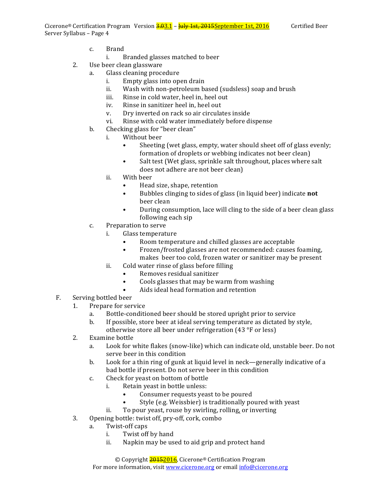Cicerone<sup>®</sup> Certification Program Version  $\frac{3.03.1}{1}$  –  $\frac{1 \text{u} \cdot \text{u} \cdot \text{v}}{1}$  as the set and the section of the section of the section of the section of the section of the section of the section of the section o Server Syllabus - Page 4

- c. Brand
	- i. Branded glasses matched to beer
- 2. Use beer clean glassware
	- a. Glass cleaning procedure
		- i. Empty glass into open drain
		- ii. Wash with non-petroleum based (sudsless) soap and brush
		- iii. Rinse in cold water, heel in, heel out
		- iv. Rinse in sanitizer heel in, heel out
		- v. Dry inverted on rack so air circulates inside
		- vi. Rinse with cold water immediately before dispense
	- b. Checking glass for "beer clean"
		- i. Without beer
			- Sheeting (wet glass, empty, water should sheet off of glass evenly; formation of droplets or webbing indicates not beer clean)
			- Salt test (Wet glass, sprinkle salt throughout, places where salt does not adhere are not beer clean)
		- ii. With beer
			- Head size, shape, retention
			- Bubbles clinging to sides of glass (in liquid beer) indicate **not** beer clean
			- During consumption, lace will cling to the side of a beer clean glass following each sip
	- c. Preparation to serve
		- i. Glass temperature
			- Room temperature and chilled glasses are acceptable
			- Frozen/frosted glasses are not recommended: causes foaming, makes beer too cold, frozen water or sanitizer may be present
		- ii. Cold water rinse of glass before filling
			- Removes residual sanitizer
			- Cools glasses that may be warm from washing
			- Aids ideal head formation and retention
- F. Serving bottled beer
	- 1. Prepare for service
		- a. Bottle-conditioned beer should be stored upright prior to service
		- b. If possible, store beer at ideal serving temperature as dictated by style,
			- otherwise store all beer under refrigeration  $(43 °F)$  or less)
	- 2. Examine bottle
		- a. Look for white flakes (snow-like) which can indicate old, unstable beer. Do not serve beer in this condition
		- b. Look for a thin ring of gunk at liquid level in neck—generally indicative of a bad bottle if present. Do not serve beer in this condition
		- c. Check for yeast on bottom of bottle
			- i. Retain yeast in bottle unless:
				- Consumer requests yeast to be poured
				- Style (e.g. Weissbier) is traditionally poured with yeast
			- ii. To pour yeast, rouse by swirling, rolling, or inverting
	- 3. Opening bottle: twist off, pry-off, cork, combo
		- a. Twist-off caps
			- i. Twist off by hand
			- ii. Napkin may be used to aid grip and protect hand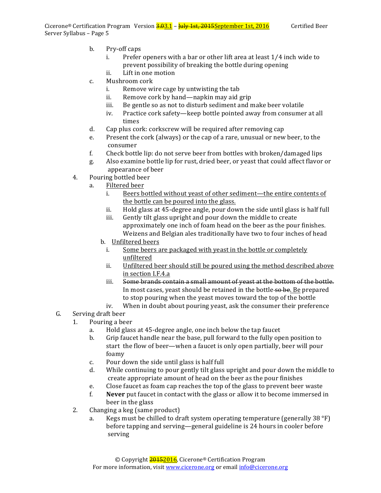- b. Pry-off caps
	- i. Prefer openers with a bar or other lift area at least 1/4 inch wide to prevent possibility of breaking the bottle during opening
	- ii. Lift in one motion
- c. Mushroom cork
	- i. Remove wire cage by untwisting the tab
	- ii. Remove cork by hand—napkin may aid grip
	- iii. Be gentle so as not to disturb sediment and make beer volatile
	- iv. Practice cork safety—keep bottle pointed away from consumer at all times
- d. Cap plus cork: corkscrew will be required after removing cap
- e. Present the cork (always) or the cap of a rare, unusual or new beer, to the consumer
- f. Check bottle lip: do not serve beer from bottles with broken/damaged lips
- g. Also examine bottle lip for rust, dried beer, or yeast that could affect flavor or appearance of beer
- 4. Pouring bottled beer
	- a. Filtered beer
		- i. Beers bottled without yeast of other sediment—the entire contents of the bottle can be poured into the glass.
		- ii. Hold glass at 45-degree angle, pour down the side until glass is half full
		- iii. Gently tilt glass upright and pour down the middle to create approximately one inch of foam head on the beer as the pour finishes. Weizens and Belgian ales traditionally have two to four inches of head
		- b. Unfiltered beers
			- i. Some beers are packaged with yeast in the bottle or completely unfiltered
			- ii. Unfiltered beer should still be poured using the method described above in section I.F.4.a
			- iii. Some brands contain a small amount of yeast at the bottom of the bottle. In most cases, yeast should be retained in the bottle so be. Be prepared to stop pouring when the yeast moves toward the top of the bottle
		- iv. When in doubt about pouring yeast, ask the consumer their preference
- G. Serving draft beer
	- 1. Pouring a beer
		- a. Hold glass at 45-degree angle, one inch below the tap faucet
		- b. Grip faucet handle near the base, pull forward to the fully open position to start the flow of beer—when a faucet is only open partially, beer will pour foamy
		- c. Pour down the side until glass is half full
		- d. While continuing to pour gently tilt glass upright and pour down the middle to create appropriate amount of head on the beer as the pour finishes
		- e. Close faucet as foam cap reaches the top of the glass to prevent beer waste
		- f. **Never** put faucet in contact with the glass or allow it to become immersed in beer in the glass
	- 2. Changing a keg (same product)
		- a. Kegs must be chilled to draft system operating temperature (generally 38  $\degree$ F) before tapping and serving—general guideline is 24 hours in cooler before serving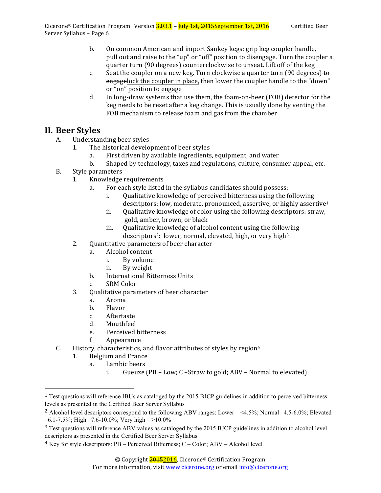- b. On common American and import Sankey kegs: grip keg coupler handle, pull out and raise to the "up" or "off" position to disengage. Turn the coupler a quarter turn (90 degrees) counterclockwise to unseat. Lift off of the keg
- c. Seat the coupler on a new keg. Turn clockwise a quarter turn  $(90 \text{ degrees}) + \Theta$ engagelock the coupler in place, then lower the coupler handle to the "down" or "on" position to engage
- d. In long-draw systems that use them, the foam-on-beer (FOB) detector for the keg needs to be reset after a keg change. This is usually done by venting the FOB mechanism to release foam and gas from the chamber

### **II. Beer Styles**

- A. Understanding beer styles
	- 1. The historical development of beer styles
		- a. First driven by available ingredients, equipment, and water
		- b. Shaped by technology, taxes and regulations, culture, consumer appeal, etc.
- B. Style parameters
	- 1. Knowledge requirements
		- a. For each style listed in the syllabus candidates should possess:
			- i. Qualitative knowledge of perceived bitterness using the following descriptors: low, moderate, pronounced, assertive, or highly assertive<sup>1</sup>
			- ii. Qualitative knowledge of color using the following descriptors: straw, gold, amber, brown, or black
			- iii. Qualitative knowledge of alcohol content using the following descriptors<sup>2</sup>: lower, normal, elevated, high, or very high<sup>3</sup>
	- 2. Quantitative parameters of beer character
		- a. Alcohol content
			- i. By volume
			- ii. By weight
		- b. International Bitterness Units
		- c. SRM Color
	- 3. Qualitative parameters of beer character
		- a. Aroma
		- b. Flavor
		- c. Aftertaste
		- d. Mouthfeel
		- e. Perceived bitterness
		- f. Appearance
- C. History, characteristics, and flavor attributes of styles by region<sup>4</sup>
	- 1. Belgium and France
		- a. Lambic beers

 

i. Gueuze  $(PB - Low; C - Straw to gold; ABV - Normal to elevated)$ 

<sup>&</sup>lt;sup>1</sup> Test questions will reference IBUs as cataloged by the 2015 BJCP guidelines in addition to perceived bitterness levels as presented in the Certified Beer Server Syllabus

<sup>2</sup> Alcohol level descriptors correspond to the following ABV ranges: Lower – <4.5%; Normal –4.5-6.0%; Elevated  $-6.1 - 7.5\%$ ; High  $-7.6 - 10.0\%$ ; Very high  $-$  >10.0%

<sup>&</sup>lt;sup>3</sup> Test questions will reference ABV values as cataloged by the 2015 BJCP guidelines in addition to alcohol level descriptors as presented in the Certified Beer Server Syllabus

<sup>4</sup> Key for style descriptors: PB – Perceived Bitterness; C – Color; ABV – Alcohol level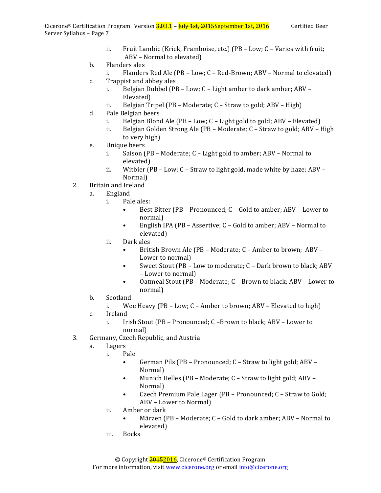- ii. Fruit Lambic (Kriek, Framboise, etc.)  $(PB Low; C Varies$  with fruit; ABV - Normal to elevated)
- b. Flanders ales
	- i. Flanders Red Ale  $(PB Low; C Red-Brown; ABV Normal to elevated)$
- c. Trappist and abbey ales
	- i. Belgian Dubbel (PB Low; C Light amber to dark amber; ABV -Elevated)
	- ii. Belgian Tripel (PB Moderate;  $C$  Straw to gold; ABV High)
- d. Pale Belgian beers
	- i. Belgian Blond Ale  $(PB Low; C Light gold to gold; ABV Elevated)$
	- ii. Belgian Golden Strong Ale (PB Moderate; C Straw to gold; ABV High to very high)
- e. Unique beers
	- i. Saison (PB Moderate;  $C$  Light gold to amber; ABV Normal to elevated)
	- ii. Witbier  $(PB Low; C Straw$  to light gold, made white by haze;  $ABV -$ Normal)
- 2. Britain and Ireland
	- a. England
		- i. Pale ales:
			- Best Bitter (PB Pronounced; C Gold to amber; ABV Lower to normal)
			- English IPA (PB Assertive;  $C$  Gold to amber; ABV Normal to elevated)
		- ii. Dark ales
			- British Brown Ale (PB Moderate; C Amber to brown; ABV Lower to normal)
			- Sweet Stout (PB Low to moderate;  $C$  Dark brown to black; ABV – Lower to normal)
			- Oatmeal Stout (PB Moderate; C Brown to black; ABV Lower to normal)
	- b. Scotland
		- i. Wee Heavy (PB Low;  $C$  Amber to brown; ABV Elevated to high)
	- c. Ireland
		- i. Irish Stout (PB Pronounced; C –Brown to black; ABV Lower to normal)
- 3. Germany, Czech Republic, and Austria
	- a. Lagers
		- i. Pale
			- German Pils (PB Pronounced; C Straw to light gold; ABV Normal)
			- Munich Helles (PB Moderate; C Straw to light gold; ABV Normal)
			- Czech Premium Pale Lager (PB Pronounced; C Straw to Gold; ABV – Lower to Normal)
		- ii. Amber or dark
			- Märzen (PB Moderate; C Gold to dark amber; ABV Normal to elevated)
		- iii. Bocks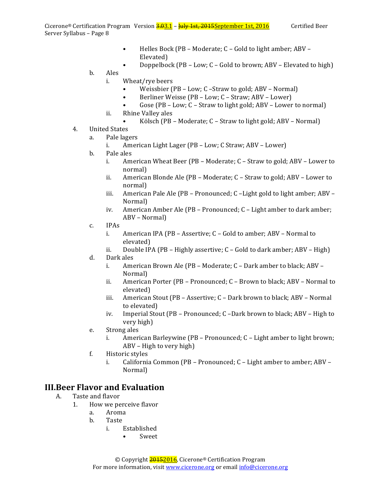- Helles Bock (PB Moderate; C Gold to light amber; ABV Elevated)
- Doppelbock (PB Low; C Gold to brown; ABV Elevated to high)
- b. Ales
	- i. Wheat/rye beers
		- Weissbier (PB Low; C -Straw to gold; ABV Normal)
		- Berliner Weisse (PB Low; C Straw; ABV Lower)
		- Gose  $(PB Low; C Straw to light gold; ABV Lower to normal)$
	- ii. Rhine Valley ales
		- Kölsch (PB Moderate;  $C$  Straw to light gold; ABV Normal)
- 4. United States
	- a. Pale lagers
		- i. American Light Lager  $(PB Low; C \, Straw; ABV Lower)$
	- b. Pale ales
		- i. American Wheat Beer (PB Moderate; C Straw to gold; ABV Lower to normal)
		- ii. American Blonde Ale  $(PB M$ oderate;  $C -$  Straw to gold; ABV Lower to normal)
		- iii. American Pale Ale  $(PB Pronounced; C Light gold to light amber; ABV -$ Normal)
		- iv. American Amber Ale  $(PB Pronounced; C Light ambert to dark amber;$ ABV – Normal)
	- c. IPAs
		- i. American IPA (PB Assertive;  $C$  Gold to amber; ABV Normal to elevated)
		- ii. Double IPA (PB Highly assertive;  $C Gold$  to dark amber; ABV High)
	- d. Dark ales
		- i. American Brown Ale (PB Moderate;  $C -$  Dark amber to black; ABV Normal)
		- ii. American Porter (PB Pronounced; C Brown to black; ABV Normal to elevated)
		- iii. American Stout (PB Assertive; C Dark brown to black; ABV Normal to elevated)
		- iv. Imperial Stout (PB Pronounced; C –Dark brown to black; ABV High to very high)
	- e. Strong ales
		- i. American Barleywine  $(PB Pronounced; C Light amber to light brown;$  $ABV - High to very high$
	- f. Historic styles
		- i. California Common  $(PB Pronounced; C Light amber to amber; ABV -$ Normal)

#### **III. Beer Flavor and Evaluation**

- A. Taste and flavor
	- 1. How we perceive flavor
		- a. Aroma
		- b. Taste
			- i. Established
				- Sweet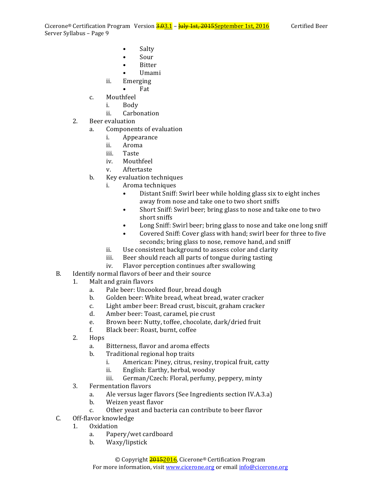Cicerone<sup>®</sup> Certification Program Version  $\frac{3.03.1}{1}$  –  $\frac{1 \text{uly 1st}}{1}$ , 2015September 1st, 2016 Certified Beer Server Syllabus - Page 9

- Salty
- Sour
- **Bitter**
- Umami
- ii. Emerging
	- Fat
- c. Mouthfeel
	- i. Body
	- ii. Carbonation
- 2. Beer evaluation
	- a. Components of evaluation
		- i. Appearance
		- ii. Aroma
		- iii. Taste
		- iv. Mouthfeel
		- v. Aftertaste
	- b. Key evaluation techniques
		- i. Aroma techniques
			- Distant Sniff: Swirl beer while holding glass six to eight inches away from nose and take one to two short sniffs
			- Short Sniff: Swirl beer; bring glass to nose and take one to two short sniffs
			- Long Sniff: Swirl beer; bring glass to nose and take one long sniff
			- Covered Sniff: Cover glass with hand; swirl beer for three to five seconds; bring glass to nose, remove hand, and sniff
		- ii. Use consistent background to assess color and clarity
		- iii. Beer should reach all parts of tongue during tasting
		- iv. Flavor perception continues after swallowing
- B. Identify normal flavors of beer and their source
	- 1. Malt and grain flavors
		- a. Pale beer: Uncooked flour, bread dough
		- b. Golden beer: White bread, wheat bread, water cracker
		- c. Light amber beer: Bread crust, biscuit, graham cracker
		- d. Amber beer: Toast, caramel, pie crust
		- e. Brown beer: Nutty, toffee, chocolate, dark/dried fruit
		- f. Black beer: Roast, burnt, coffee
	- 2. Hops
		- a. Bitterness, flavor and aroma effects
		- b. Traditional regional hop traits
			- i. American: Piney, citrus, resiny, tropical fruit, catty
			- ii. English: Earthy, herbal, woodsy
			- iii. German/Czech: Floral, perfumy, peppery, minty
	- 3. Fermentation flavors
		- a. Ale versus lager flavors (See Ingredients section IV.A.3.a)
		- b. Weizen yeast flavor
		- c. Other yeast and bacteria can contribute to beer flavor
- C. Off-flavor knowledge
	- 1. Oxidation
		- a. Papery/wet cardboard
		- b. Waxy/lipstick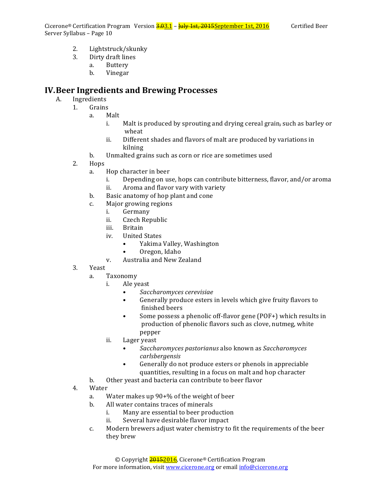Cicerone<sup>®</sup> Certification Program Version  $\frac{3.03.1}{1}$  –  $\frac{1 \text{u} \cdot \text{u} \cdot \text{v}}{1}$  as the set in the section of the section of the section of the section of the section of the section of the section of the section of Server Syllabus - Page 10

- 2. Lightstruck/skunky
- 3. Dirty draft lines
	- a. Buttery
		- b. Vinegar

#### **IV.Beer Ingredients and Brewing Processes**

- A. Ingredients
	- 1. Grains
		- a. Malt
			- i. Malt is produced by sprouting and drying cereal grain, such as barley or wheat
			- ii. Different shades and flavors of malt are produced by variations in kilning
		- b. Unmalted grains such as corn or rice are sometimes used
		- 2. Hops
			- a. Hop character in beer
				- i. Depending on use, hops can contribute bitterness, flavor, and/or aroma
				- ii. Aroma and flavor vary with variety
			- b. Basic anatomy of hop plant and cone
			- c. Major growing regions
				- i. Germany
				- ii. Czech Republic
				- iii. Britain
				- iv. United States
					- Yakima Valley, Washington
					- Oregon, Idaho
				- v. Australia and New Zealand
		- 3. Yeast
			- a. Taxonomy
				- i. Ale yeast
					- *Saccharomyces cerevisiae*
					- Generally produce esters in levels which give fruity flavors to finished beers
					- Some possess a phenolic off-flavor gene (POF+) which results in production of phenolic flavors such as clove, nutmeg, white pepper
				- ii. Lager veast
					- Saccharomyces pastorianus also known as Saccharomyces *carlsbergensis*
					- Generally do not produce esters or phenols in appreciable quantities, resulting in a focus on malt and hop character
			- b. Other yeast and bacteria can contribute to beer flavor

#### 4. Water

- a. Water makes up  $90+%$  of the weight of beer
- b. All water contains traces of minerals
	- i. Many are essential to beer production
	- ii. Several have desirable flavor impact
- c. Modern brewers adjust water chemistry to fit the requirements of the beer they brew